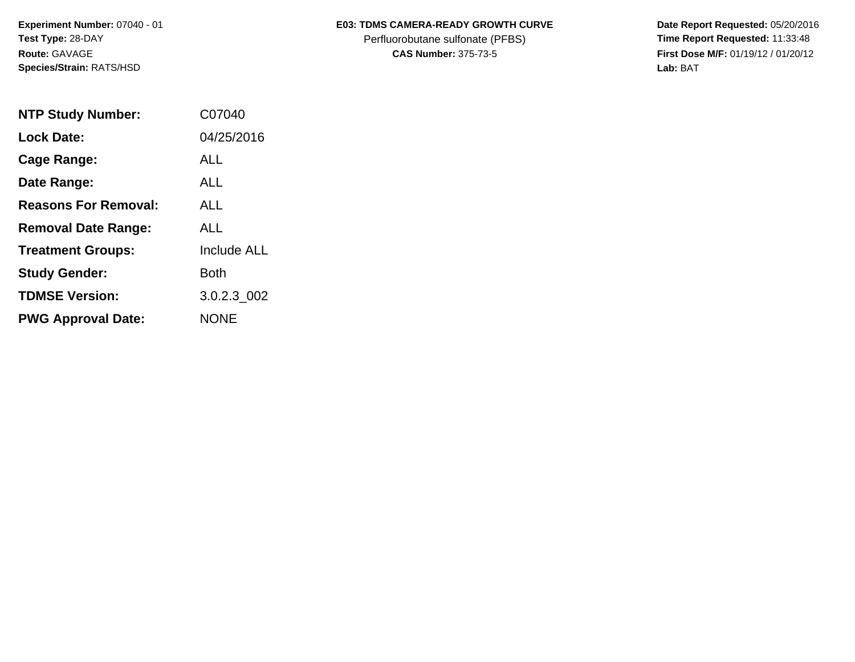**Experiment Number:** 07040 - 01 **Test Type:** 28-DAY **Route:** GAVAGE **Species/Strain:** RATS/HSD

## E03: TDMS CAMERA-READY GROWTH CURVE Date Report Requested: 05/20/2016

Perfluorobutane sulfonate (PFBS) **Time Report Requested:** 11:33:48

**CAS Number:** 375-73-5 **First Dose M/F:** 01/19/12 / 01/20/12 **Lab:** BAT

| <b>NTP Study Number:</b>    | C07040             |
|-----------------------------|--------------------|
| <b>Lock Date:</b>           | 04/25/2016         |
| Cage Range:                 | ALL                |
| Date Range:                 | AI I               |
| <b>Reasons For Removal:</b> | ALL                |
| <b>Removal Date Range:</b>  | ALL                |
| <b>Treatment Groups:</b>    | <b>Include ALL</b> |
| <b>Study Gender:</b>        | Both               |
| <b>TDMSE Version:</b>       | 3.0.2.3 002        |
| <b>PWG Approval Date:</b>   | <b>NONE</b>        |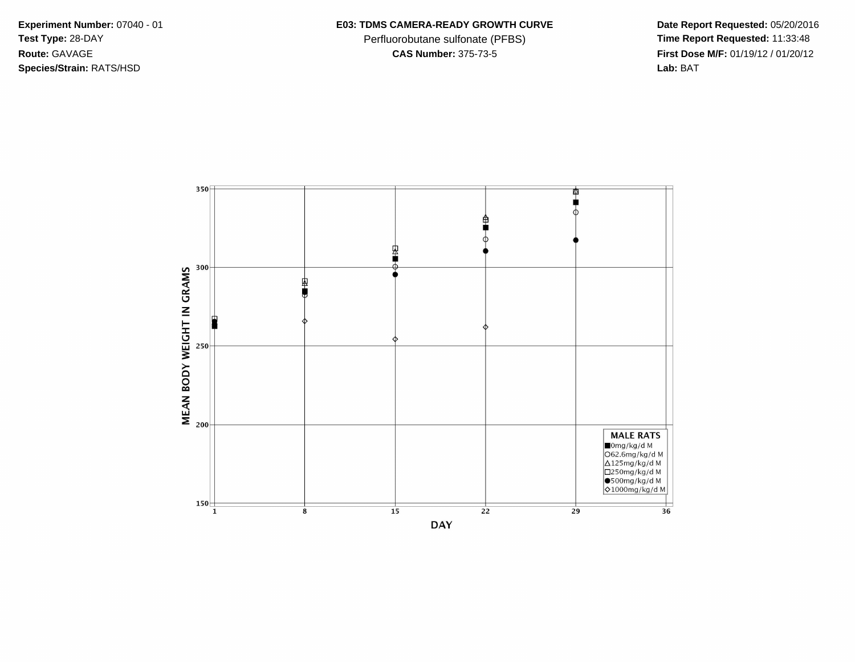**Species/Strain:** RATS/HSD **Lab:** BAT

## Experiment Number: 07040 - 01 **E03: TDMS CAMERA-READY GROWTH CURVE** Date Report Requested: 05/20/2016

Test Type: 28-DAY **Perfluorobutane sulfonate (PFBS) Time Report Requested:** 11:33:48 **Route:** GAVAGE **CAS Number:** 375-73-5 **First Dose M/F:** 01/19/12 / 01/20/12